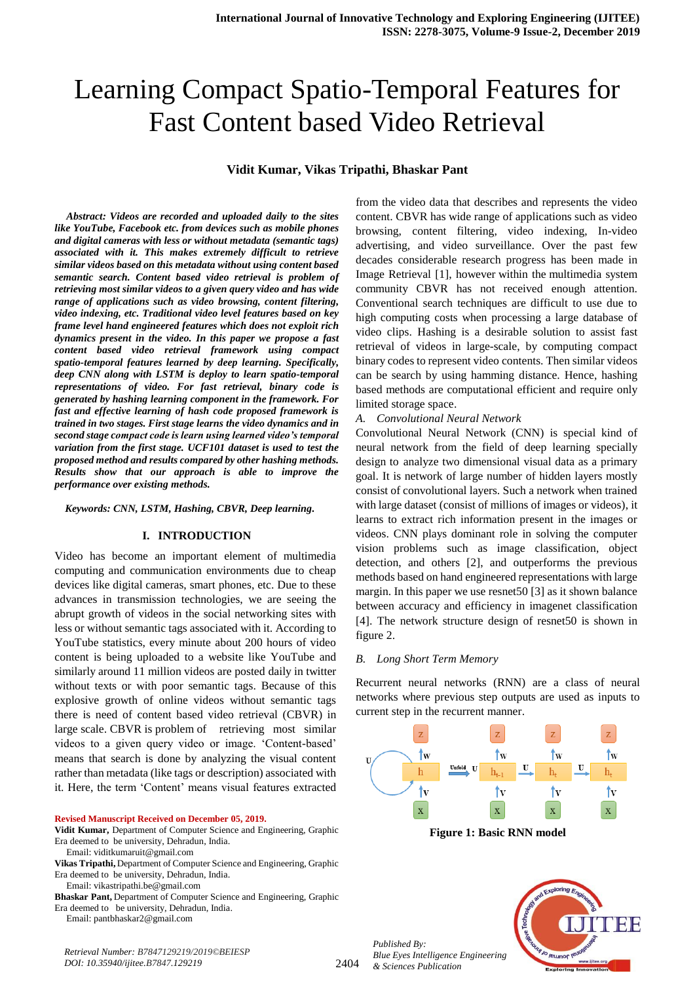# Learning Compact Spatio-Temporal Features for Fast Content based Video Retrieval

## **Vidit Kumar, Vikas Tripathi, Bhaskar Pant**

*Abstract: Videos are recorded and uploaded daily to the sites like YouTube, Facebook etc. from devices such as mobile phones and digital cameras with less or without metadata (semantic tags) associated with it. This makes extremely difficult to retrieve similar videos based on this metadata without using content based semantic search. Content based video retrieval is problem of retrieving most similar videos to a given query video and has wide range of applications such as video browsing, content filtering, video indexing, etc. Traditional video level features based on key frame level hand engineered features which does not exploit rich dynamics present in the video. In this paper we propose a fast content based video retrieval framework using compact spatio-temporal features learned by deep learning. Specifically, deep CNN along with LSTM is deploy to learn spatio-temporal representations of video. For fast retrieval, binary code is generated by hashing learning component in the framework. For fast and effective learning of hash code proposed framework is trained in two stages. First stage learns the video dynamics and in second stage compact code is learn using learned video's temporal variation from the first stage. UCF101 dataset is used to test the proposed method and results compared by other hashing methods. Results show that our approach is able to improve the performance over existing methods.*

#### *Keywords: CNN, LSTM, Hashing, CBVR, Deep learning.*

## **I. INTRODUCTION**

Video has become an important element of multimedia computing and communication environments due to cheap devices like digital cameras, smart phones, etc. Due to these advances in transmission technologies, we are seeing the abrupt growth of videos in the social networking sites with less or without semantic tags associated with it. According to YouTube statistics, every minute about 200 hours of video content is being uploaded to a website like YouTube and similarly around 11 million videos are posted daily in twitter without texts or with poor semantic tags. Because of this explosive growth of online videos without semantic tags there is need of content based video retrieval (CBVR) in large scale. CBVR is problem of retrieving most similar videos to a given query video or image. 'Content-based' means that search is done by analyzing the visual content rather than metadata (like tags or description) associated with it. Here, the term 'Content' means visual features extracted

#### **Revised Manuscript Received on December 05, 2019.**

#### **Vidit Kumar,** Department of Computer Science and Engineering, Graphic Era deemed to be university, Dehradun, India. Email: viditkumaruit@gmail.com

**Vikas Tripathi,** Department of Computer Science and Engineering, Graphic Era deemed to be university, Dehradun, India.

Email[: vikastripathi.be@gmail.com](mailto:vikastripathi.be@gmail.com)

**Bhaskar Pant,** Department of Computer Science and Engineering, Graphic Era deemed to be university, Dehradun, India.

Email[: pantbhaskar2@gmail.com](mailto:pantbhaskar2@gmail.com)

*Retrieval Number: B7847129219/2019©BEIESP DOI: 10.35940/ijitee.B7847.129219*

from the video data that describes and represents the video content. CBVR has wide range of applications such as video browsing, content filtering, video indexing, In-video advertising, and video surveillance. Over the past few decades considerable research progress has been made in Image Retrieval [1], however within the multimedia system community CBVR has not received enough attention. Conventional search techniques are difficult to use due to high computing costs when processing a large database of video clips. Hashing is a desirable solution to assist fast retrieval of videos in large-scale, by computing compact binary codes to represent video contents. Then similar videos can be search by using hamming distance. Hence, hashing based methods are computational efficient and require only limited storage space.

#### *A. Convolutional Neural Network*

Convolutional Neural Network (CNN) is special kind of neural network from the field of deep learning specially design to analyze two dimensional visual data as a primary goal. It is network of large number of hidden layers mostly consist of convolutional layers. Such a network when trained with large dataset (consist of millions of images or videos), it learns to extract rich information present in the images or videos. CNN plays dominant role in solving the computer vision problems such as image classification, object detection, and others [2], and outperforms the previous methods based on hand engineered representations with large margin. In this paper we use resnet50 [3] as it shown balance between accuracy and efficiency in imagenet classification [4]. The network structure design of resnet50 is shown in figure 2.

#### *B. Long Short Term Memory*

Recurrent neural networks (RNN) are a class of neural networks where previous step outputs are used as inputs to current step in the recurrent manner.



**Figure 1: Basic RNN model**

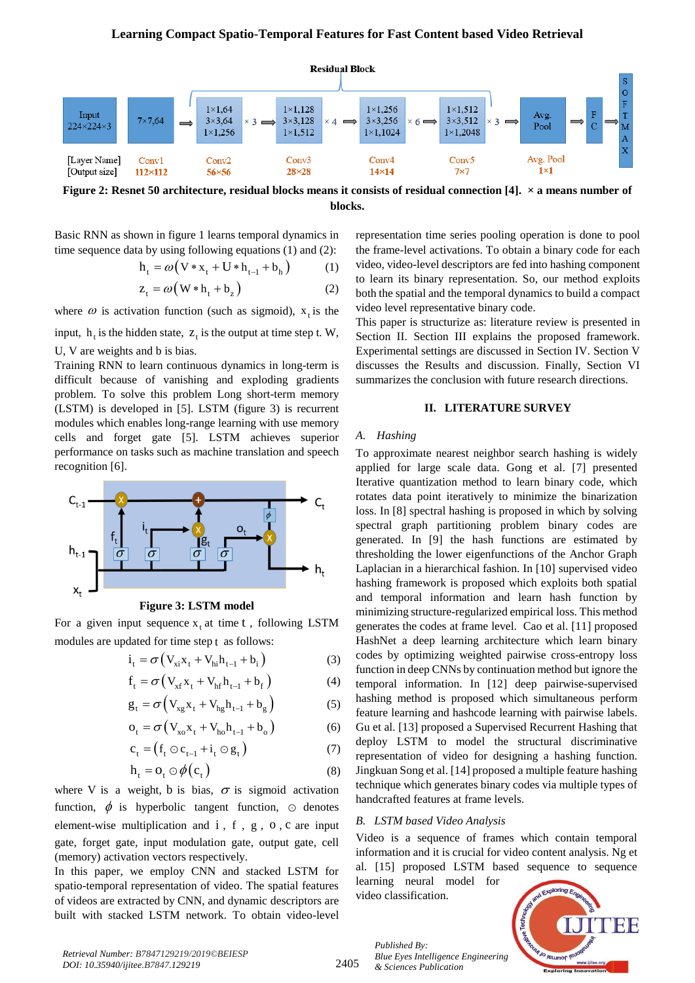

**Figure 2: Resnet 50 architecture, residual blocks means it consists of residual connection [4]. × a means number of blocks.**

Basic RNN as shown in figure 1 learns temporal dynamics in time sequence data by using following equations (1) and (2):<br>  $h_t = \omega (V * x_t + U * h_{t-1} + b_h)$  (1)

$$
h_{t} = \omega (V * x_{t} + U * h_{t-1} + b_{h})
$$
 (1)

$$
Z_t = \omega (W * h_t + b_z)
$$
 (2)

where  $\omega$  is activation function (such as sigmoid),  $x_t$  is the

input,  $h_t$  is the hidden state,  $z_t$  is the output at time step t. W, U, V are weights and b is bias.

Training RNN to learn continuous dynamics in long-term is difficult because of vanishing and exploding gradients problem. To solve this problem Long short-term memory (LSTM) is developed in [5]. LSTM (figure 3) is recurrent modules which enables long-range learning with use memory cells and forget gate [5]. LSTM achieves superior performance on tasks such as machine translation and speech recognition [6].



**Figure 3: LSTM model**

For a given input sequence  $x_t$  at time t, following LSTM modules are updated for time step t as follows:

$$
i_t = \sigma \left( V_{xi} x_t + V_{hi} h_{t-1} + b_i \right)
$$
 (3)

$$
f_{t} = \sigma (V_{xf} x_{t} + V_{hf} h_{t-1} + b_{f})
$$
 (4)

$$
g_t = \sigma \left( V_{xg} x_t + V_{hg} h_{t-1} + b_g \right) \tag{5}
$$

$$
o_{t} = \sigma (V_{xo}x_{t} + V_{ho}h_{t-1} + b_{o})
$$
 (6)

$$
c_t = (f_t \odot c_{t-1} + i_t \odot g_t) \tag{7}
$$

$$
h_t = o_t \odot \phi(c_t) \tag{8}
$$

where V is a weight, b is bias,  $\sigma$  is sigmoid activation function,  $\phi$  is hyperbolic tangent function,  $\odot$  denotes element-wise multiplication and i, f, g, o, c are input gate, forget gate, input modulation gate, output gate, cell (memory) activation vectors respectively.

In this paper, we employ CNN and stacked LSTM for spatio-temporal representation of video. The spatial features of videos are extracted by CNN, and dynamic descriptors are built with stacked LSTM network. To obtain video-level representation time series pooling operation is done to pool the frame-level activations. To obtain a binary code for each video, video-level descriptors are fed into hashing component to learn its binary representation. So, our method exploits both the spatial and the temporal dynamics to build a compact video level representative binary code.

This paper is structurize as: literature review is presented in Section II. Section III explains the proposed framework. Experimental settings are discussed in Section IV. Section V discusses the Results and discussion. Finally, Section VI summarizes the conclusion with future research directions.

# **II. LITERATURE SURVEY**

#### *A. Hashing*

To approximate nearest neighbor search hashing is widely applied for large scale data. Gong et al. [7] presented [Iterative quantization](https://ieeexplore.ieee.org/abstract/document/6296665/) method to learn binary code, which rotates data point iteratively to minimize the binarization loss. In [8] spectral hashing is proposed in which by solving spectral graph partitioning problem binary codes are generated. In [9] the hash functions are estimated by thresholding the lower eigenfunctions of the Anchor Graph Laplacian in a hierarchical fashion. In [10] supervised video hashing framework is proposed which exploits both spatial and temporal information and learn hash function by minimizing structure-regularized empirical loss. This method generates the codes at frame level. Cao et al. [11] proposed HashNet a deep learning architecture which learn binary codes by optimizing weighted pairwise cross-entropy loss function in deep CNNs by continuation method but ignore the temporal information. In [12] deep pairwise-supervised hashing method is proposed which simultaneous perform feature learning and hashcode learning with pairwise labels. Gu et al. [13] proposed a Supervised Recurrent Hashing that deploy LSTM to model the structural discriminative representation of video for designing a hashing function. Jingkuan Song et al. [14] proposed a multiple feature hashing technique which generates binary codes via multiple types of handcrafted features at frame levels.

### *B. LSTM based Video Analysis*

Video is a sequence of frames which contain temporal information and it is crucial for video content analysis. Ng et al. [15] proposed LSTM based sequence to sequence

learning neural model for video classification.



2405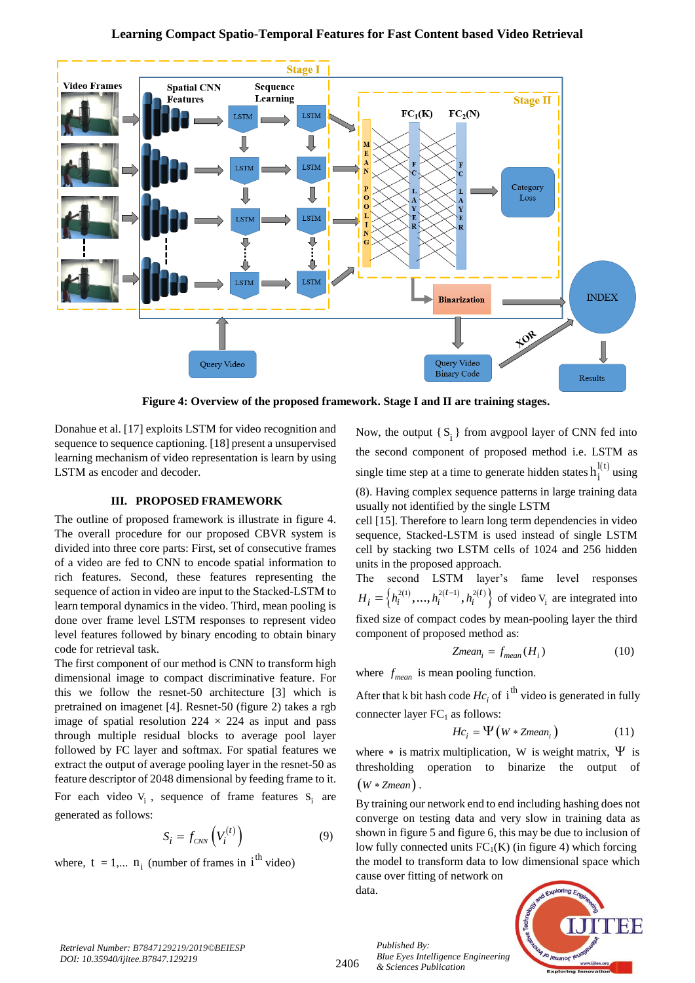# **Learning Compact Spatio-Temporal Features for Fast Content based Video Retrieval**



**Figure 4: Overview of the proposed framework. Stage I and II are training stages.**

Donahue et al. [17] exploits LSTM for video recognition and sequence to sequence captioning. [18] present a unsupervised learning mechanism of video representation is learn by using LSTM as encoder and decoder.

# **III. PROPOSED FRAMEWORK**

The outline of proposed framework is illustrate in figure 4. The overall procedure for our proposed CBVR system is divided into three core parts: First, set of consecutive frames of a video are fed to CNN to encode spatial information to rich features. Second, these features representing the sequence of action in video are input to the Stacked-LSTM to learn temporal dynamics in the video. Third, mean pooling is done over frame level LSTM responses to represent video level features followed by binary encoding to obtain binary code for retrieval task.

The first component of our method is CNN to transform high dimensional image to compact discriminative feature. For this we follow the resnet-50 architecture [3] which is pretrained on imagenet [4]. Resnet-50 (figure 2) takes a rgb image of spatial resolution  $224 \times 224$  as input and pass through multiple residual blocks to average pool layer followed by FC layer and softmax. For spatial features we extract the output of average pooling layer in the resnet-50 as feature descriptor of 2048 dimensional by feeding frame to it.

For each video  $V_i$ , sequence of frame features  $S_i$  are generated as follows:

$$
S_i = f_{\text{CNN}}\left(V_i^{(t)}\right) \tag{9}
$$

where,  $t = 1,... n_i$  (number of frames in  $i<sup>th</sup>$  video)

Now, the output  $\{S_i\}$  from avgpool layer of CNN fed into the second component of proposed method i.e. LSTM as single time step at a time to generate hidden states  $h_i^{l(t)}$  $h_i^{(1)}$  using (8). Having complex sequence patterns in large training data usually not identified by the single LSTM

cell [15]. Therefore to learn long term dependencies in video sequence, Stacked-LSTM is used instead of single LSTM cell by stacking two LSTM cells of 1024 and 256 hidden units in the proposed approach.

The second LSTM layer's fame level responses  $H_i = \left\{ h_i^{2(1)}, ..., h_i^{2(t-1)}, h_i^{2(t)} \right\}$  of video  $V_i$  are integrated into fixed size of compact codes by mean-pooling layer the third component of proposed method as:

$$
Zmean_i = f_{mean}(H_i)
$$
 (10)

where  $f_{mean}$  is mean pooling function.

After that k bit hash code  $Hc_i$  of i<sup>th</sup> video is generated in fully connecter layer  $FC<sub>1</sub>$  as follows:

$$
Hc_i = \Psi\left(W * Zmean_i\right) \tag{11}
$$

where  $*$  is matrix multiplication, W is weight matrix,  $\Psi$  is thresholding operation to binarize the output of  $(W * Zmean)$ .

By training our network end to end including hashing does not converge on testing data and very slow in training data as shown in figure 5 and figure 6, this may be due to inclusion of low fully connected units  $FC_1(K)$  (in figure 4) which forcing the model to transform data to low dimensional space which cause over fitting of network on

data.



2406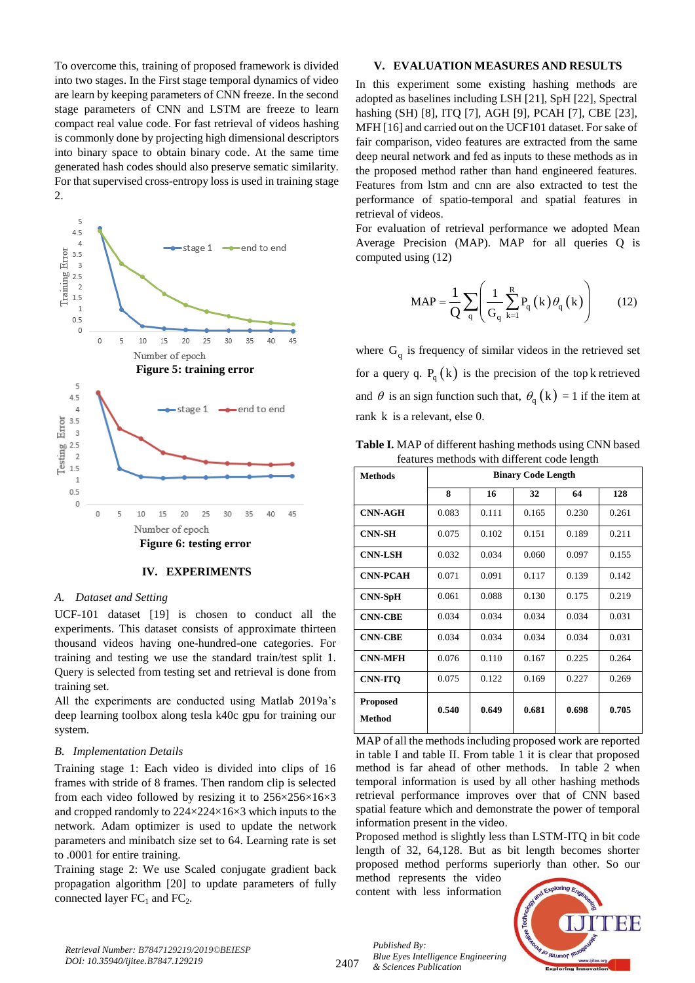To overcome this, training of proposed framework is divided into two stages. In the First stage temporal dynamics of video are learn by keeping parameters of CNN freeze. In the second stage parameters of CNN and LSTM are freeze to learn compact real value code. For fast retrieval of videos hashing is commonly done by projecting high dimensional descriptors into binary space to obtain binary code. At the same time generated hash codes should also preserve sematic similarity. For that supervised cross-entropy loss is used in training stage 2.



**IV. EXPERIMENTS**

### *A. Dataset and Setting*

UCF-101 dataset [19] is chosen to conduct all the experiments. This dataset consists of approximate thirteen thousand videos having one-hundred-one categories. For training and testing we use the standard train/test split 1. Query is selected from testing set and retrieval is done from training set.

All the experiments are conducted using Matlab 2019a's deep learning toolbox along tesla k40c gpu for training our system.

#### *B. Implementation Details*

Training stage 1: Each video is divided into clips of 16 frames with stride of 8 frames. Then random clip is selected from each video followed by resizing it to 256×256×16×3 and cropped randomly to 224×224×16×3 which inputs to the network. Adam optimizer is used to update the network parameters and minibatch size set to 64. Learning rate is set to .0001 for entire training.

Training stage 2: We use Scaled conjugate gradient back propagation algorithm [20] to update parameters of fully connected layer  $FC_1$  and  $FC_2$ .

### **V. EVALUATION MEASURES AND RESULTS**

In this experiment some existing hashing methods are adopted as baselines including LSH [21], SpH [22], Spectral hashing (SH) [8], ITQ [7], AGH [9], PCAH [7], CBE [23], MFH [16] and carried out on the UCF101 dataset. For sake of fair comparison, video features are extracted from the same deep neural network and fed as inputs to these methods as in the proposed method rather than hand engineered features. Features from lstm and cnn are also extracted to test the performance of spatio-temporal and spatial features in retrieval of videos.

For evaluation of retrieval performance we adopted Mean Average Precision (MAP). MAP for all queries Q is computed using (12)

$$
\text{MAP} = \frac{1}{Q} \sum_{q} \left( \frac{1}{G_q} \sum_{k=1}^{R} P_q(k) \theta_q(k) \right) \tag{12}
$$

where  $G_q$  is frequency of similar videos in the retrieved set for a query q.  $P_q(k)$  is the precision of the top k retrieved and  $\theta$  is an sign function such that,  $\theta_{q}$  (k) = 1 if the item at rank k is a relevant, else 0.

**Table I.** MAP of different hashing methods using CNN based features methods with different code length

| <b>Methods</b>                   | <b>Binary Code Length</b> |       |       |       |       |  |  |
|----------------------------------|---------------------------|-------|-------|-------|-------|--|--|
|                                  | 8                         | 16    | 32    | 64    | 128   |  |  |
| <b>CNN-AGH</b>                   | 0.083                     | 0.111 | 0.165 | 0.230 | 0.261 |  |  |
| <b>CNN-SH</b>                    | 0.075                     | 0.102 | 0.151 | 0.189 | 0.211 |  |  |
| <b>CNN-LSH</b>                   | 0.032                     | 0.034 | 0.060 | 0.097 | 0.155 |  |  |
| <b>CNN-PCAH</b>                  | 0.071                     | 0.091 | 0.117 | 0.139 | 0.142 |  |  |
| <b>CNN-SpH</b>                   | 0.061                     | 0.088 | 0.130 | 0.175 | 0.219 |  |  |
| <b>CNN-CBE</b>                   | 0.034                     | 0.034 | 0.034 | 0.034 | 0.031 |  |  |
| <b>CNN-CBE</b>                   | 0.034                     | 0.034 | 0.034 | 0.034 | 0.031 |  |  |
| <b>CNN-MFH</b>                   | 0.076                     | 0.110 | 0.167 | 0.225 | 0.264 |  |  |
| <b>CNN-ITO</b>                   | 0.075                     | 0.122 | 0.169 | 0.227 | 0.269 |  |  |
| <b>Proposed</b><br><b>Method</b> | 0.540                     | 0.649 | 0.681 | 0.698 | 0.705 |  |  |

MAP of all the methods including proposed work are reported in table I and table II. From table 1 it is clear that proposed method is far ahead of other methods. In table 2 when temporal information is used by all other hashing methods retrieval performance improves over that of CNN based spatial feature which and demonstrate the power of temporal information present in the video.

Proposed method is slightly less than LSTM-ITQ in bit code length of 32, 64,128. But as bit length becomes shorter proposed method performs superiorly than other. So our method represents the video

content with less information



2407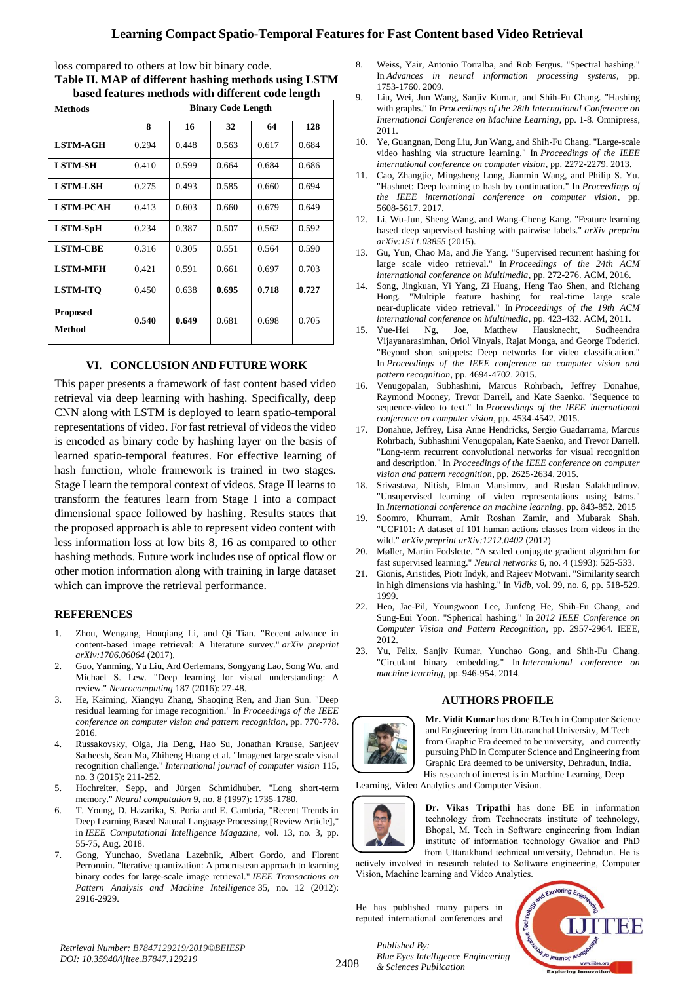# **Learning Compact Spatio-Temporal Features for Fast Content based Video Retrieval**

loss compared to others at low bit binary code.

**Table II. MAP of different hashing methods using LSTM based features methods with different code length**

| <b>Methods</b>            | <b>Binary Code Length</b> |       |       |       |       |  |  |
|---------------------------|---------------------------|-------|-------|-------|-------|--|--|
|                           | 8                         | 16    | 32    | 64    | 128   |  |  |
| <b>LSTM-AGH</b>           | 0.294                     | 0.448 | 0.563 | 0.617 | 0.684 |  |  |
| <b>LSTM-SH</b>            | 0.410                     | 0.599 | 0.664 | 0.684 | 0.686 |  |  |
| <b>LSTM-LSH</b>           | 0.275                     | 0.493 | 0.585 | 0.660 | 0.694 |  |  |
| <b>LSTM-PCAH</b>          | 0.413                     | 0.603 | 0.660 | 0.679 | 0.649 |  |  |
| <b>LSTM-SpH</b>           | 0.234                     | 0.387 | 0.507 | 0.562 | 0.592 |  |  |
| <b>LSTM-CBE</b>           | 0.316                     | 0.305 | 0.551 | 0.564 | 0.590 |  |  |
| <b>LSTM-MFH</b>           | 0.421                     | 0.591 | 0.661 | 0.697 | 0.703 |  |  |
| <b>LSTM-ITO</b>           | 0.450                     | 0.638 | 0.695 | 0.718 | 0.727 |  |  |
| <b>Proposed</b><br>Method | 0.540                     | 0.649 | 0.681 | 0.698 | 0.705 |  |  |

# **VI. CONCLUSION AND FUTURE WORK**

This paper presents a framework of fast content based video retrieval via deep learning with hashing. Specifically, deep CNN along with LSTM is deployed to learn spatio-temporal representations of video. For fast retrieval of videos the video is encoded as binary code by hashing layer on the basis of learned spatio-temporal features. For effective learning of hash function, whole framework is trained in two stages. Stage I learn the temporal context of videos. Stage II learns to transform the features learn from Stage I into a compact dimensional space followed by hashing. Results states that the proposed approach is able to represent video content with less information loss at low bits 8, 16 as compared to other hashing methods. Future work includes use of optical flow or other motion information along with training in large dataset which can improve the retrieval performance.

### **REFERENCES**

- 1. Zhou, Wengang, Houqiang Li, and Qi Tian. "Recent advance in content-based image retrieval: A literature survey." *arXiv preprint arXiv:1706.06064* (2017).
- 2. Guo, Yanming, Yu Liu, Ard Oerlemans, Songyang Lao, Song Wu, and Michael S. Lew. "Deep learning for visual understanding: A review." *Neurocomputing* 187 (2016): 27-48.
- 3. He, Kaiming, Xiangyu Zhang, Shaoqing Ren, and Jian Sun. "Deep residual learning for image recognition." In *Proceedings of the IEEE conference on computer vision and pattern recognition*, pp. 770-778. 2016.
- 4. Russakovsky, Olga, Jia Deng, Hao Su, Jonathan Krause, Sanjeev Satheesh, Sean Ma, Zhiheng Huang et al. "Imagenet large scale visual recognition challenge." *International journal of computer vision* 115, no. 3 (2015): 211-252.
- 5. Hochreiter, Sepp, and Jürgen Schmidhuber. "Long short-term memory." *Neural computation* 9, no. 8 (1997): 1735-1780.
- 6. T. Young, D. Hazarika, S. Poria and E. Cambria, "Recent Trends in Deep Learning Based Natural Language Processing [Review Article]," in *IEEE Computational Intelligence Magazine*, vol. 13, no. 3, pp. 55-75, Aug. 2018.
- 7. Gong, Yunchao, Svetlana Lazebnik, Albert Gordo, and Florent Perronnin. "Iterative quantization: A procrustean approach to learning binary codes for large-scale image retrieval." *IEEE Transactions on Pattern Analysis and Machine Intelligence* 35, no. 12 (2012): 2916-2929.
- 8. Weiss, Yair, Antonio Torralba, and Rob Fergus. "Spectral hashing." In *Advances in neural information processing systems*, pp. 1753-1760. 2009.
- 9. Liu, Wei, Jun Wang, Sanjiv Kumar, and Shih-Fu Chang. "Hashing with graphs." In *Proceedings of the 28th International Conference on International Conference on Machine Learning*, pp. 1-8. Omnipress, 2011.
- 10. Ye, Guangnan, Dong Liu, Jun Wang, and Shih-Fu Chang. "Large-scale video hashing via structure learning." In *Proceedings of the IEEE international conference on computer vision*, pp. 2272-2279. 2013.
- 11. Cao, Zhangjie, Mingsheng Long, Jianmin Wang, and Philip S. Yu. "Hashnet: Deep learning to hash by continuation." In *Proceedings of the IEEE international conference on computer vision*, pp. 5608-5617. 2017.
- 12. Li, Wu-Jun, Sheng Wang, and Wang-Cheng Kang. "Feature learning based deep supervised hashing with pairwise labels." *arXiv preprint arXiv:1511.03855* (2015).
- 13. Gu, Yun, Chao Ma, and Jie Yang. "Supervised recurrent hashing for large scale video retrieval." In *Proceedings of the 24th ACM international conference on Multimedia*, pp. 272-276. ACM, 2016.
- 14. Song, Jingkuan, Yi Yang, Zi Huang, Heng Tao Shen, and Richang Hong. "Multiple feature hashing for real-time large scale near-duplicate video retrieval." In *Proceedings of the 19th ACM international conference on Multimedia*, pp. 423-432. ACM, 2011.
- 15. Yue-Hei Ng, Joe, Matthew Hausknecht, Sudheendra Vijayanarasimhan, Oriol Vinyals, Rajat Monga, and George Toderici. "Beyond short snippets: Deep networks for video classification." In *Proceedings of the IEEE conference on computer vision and pattern recognition*, pp. 4694-4702. 2015.
- 16. Venugopalan, Subhashini, Marcus Rohrbach, Jeffrey Donahue, Raymond Mooney, Trevor Darrell, and Kate Saenko. "Sequence to sequence-video to text." In *Proceedings of the IEEE international conference on computer vision*, pp. 4534-4542. 2015.
- 17. Donahue, Jeffrey, Lisa Anne Hendricks, Sergio Guadarrama, Marcus Rohrbach, Subhashini Venugopalan, Kate Saenko, and Trevor Darrell. "Long-term recurrent convolutional networks for visual recognition and description." In *Proceedings of the IEEE conference on computer vision and pattern recognition*, pp. 2625-2634. 2015.
- 18. Srivastava, Nitish, Elman Mansimov, and Ruslan Salakhudinov. "Unsupervised learning of video representations using lstms." In *International conference on machine learning*, pp. 843-852. 2015
- 19. Soomro, Khurram, Amir Roshan Zamir, and Mubarak Shah. "UCF101: A dataset of 101 human actions classes from videos in the wild." *arXiv preprint arXiv:1212.0402* (2012)
- 20. Møller, Martin Fodslette. "A scaled conjugate gradient algorithm for fast supervised learning." *Neural networks* 6, no. 4 (1993): 525-533.
- 21. Gionis, Aristides, Piotr Indyk, and Rajeev Motwani. "Similarity search in high dimensions via hashing." In *Vldb*, vol. 99, no. 6, pp. 518-529. 1999.
- 22. Heo, Jae-Pil, Youngwoon Lee, Junfeng He, Shih-Fu Chang, and Sung-Eui Yoon. "Spherical hashing." In *2012 IEEE Conference on Computer Vision and Pattern Recognition*, pp. 2957-2964. IEEE, 2012.
- 23. Yu, Felix, Sanjiv Kumar, Yunchao Gong, and Shih-Fu Chang. "Circulant binary embedding." In *International conference on machine learning*, pp. 946-954. 2014.

### **AUTHORS PROFILE**



**Mr. Vidit Kumar** has done B.Tech in Computer Science and Engineering from Uttaranchal University, M.Tech from Graphic Era deemed to be university, and currently pursuing PhD in Computer Science and Engineering from Graphic Era deemed to be university, Dehradun, India. His research of interest is in Machine Learning, Deep

Learning, Video Analytics and Computer Vision.



**Dr. Vikas Tripathi** has done BE in information technology from Technocrats institute of technology, Bhopal, M. Tech in Software engineering from Indian institute of information technology Gwalior and PhD from Uttarakhand technical university, Dehradun. He is actively involved in research related to Software engineering, Computer

Vision, Machine learning and Video Analytics.

He has published many papers in reputed international conferences and



2408